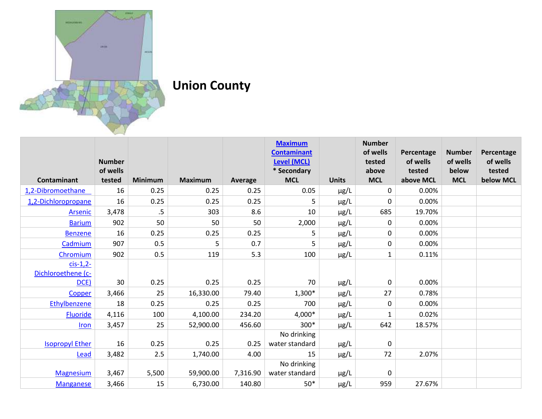

**Union County** 

|                        |                    |                |                |          | <b>Maximum</b>            |              | <b>Number</b>       |                     |                     |                     |
|------------------------|--------------------|----------------|----------------|----------|---------------------------|--------------|---------------------|---------------------|---------------------|---------------------|
|                        |                    |                |                |          | <b>Contaminant</b>        |              | of wells            | Percentage          | <b>Number</b>       | Percentage          |
|                        | <b>Number</b>      |                |                |          | <b>Level (MCL)</b>        |              | tested              | of wells            | of wells            | of wells            |
| Contaminant            | of wells<br>tested | <b>Minimum</b> | <b>Maximum</b> | Average  | * Secondary<br><b>MCL</b> | <b>Units</b> | above<br><b>MCL</b> | tested<br>above MCL | below<br><b>MCL</b> | tested<br>below MCL |
| 1,2-Dibromoethane      | 16                 | 0.25           | 0.25           | 0.25     | 0.05                      |              | 0                   | 0.00%               |                     |                     |
|                        | 16                 | 0.25           | 0.25           |          |                           | μg/L         | 0                   | 0.00%               |                     |                     |
| 1,2-Dichloropropane    |                    |                |                | 0.25     | 5                         | $\mu$ g/L    |                     |                     |                     |                     |
| <b>Arsenic</b>         | 3,478              | $.5\,$         | 303            | 8.6      | 10                        | μg/L         | 685                 | 19.70%              |                     |                     |
| <b>Barium</b>          | 902                | 50             | 50             | 50       | 2,000                     | $\mu$ g/L    | 0                   | 0.00%               |                     |                     |
| <b>Benzene</b>         | 16                 | 0.25           | 0.25           | 0.25     | 5                         | μg/L         | 0                   | 0.00%               |                     |                     |
| Cadmium                | 907                | 0.5            | 5              | 0.7      | 5                         | μg/L         | 0                   | 0.00%               |                     |                     |
| Chromium               | 902                | 0.5            | 119            | 5.3      | 100                       | μg/L         | $\mathbf{1}$        | 0.11%               |                     |                     |
| $cis-1,2-$             |                    |                |                |          |                           |              |                     |                     |                     |                     |
| Dichloroethene (c-     |                    |                |                |          |                           |              |                     |                     |                     |                     |
| DCE)                   | 30                 | 0.25           | 0.25           | 0.25     | 70                        | μg/L         | 0                   | 0.00%               |                     |                     |
| Copper                 | 3,466              | 25             | 16,330.00      | 79.40    | $1,300*$                  | μg/L         | 27                  | 0.78%               |                     |                     |
| Ethylbenzene           | 18                 | 0.25           | 0.25           | 0.25     | 700                       | $\mu$ g/L    | 0                   | 0.00%               |                     |                     |
| Fluoride               | 4,116              | 100            | 4,100.00       | 234.20   | 4,000*                    | μg/L         | 1                   | 0.02%               |                     |                     |
| Iron                   | 3,457              | 25             | 52,900.00      | 456.60   | 300*                      | μg/L         | 642                 | 18.57%              |                     |                     |
|                        |                    |                |                |          | No drinking               |              |                     |                     |                     |                     |
| <b>Isopropyl Ether</b> | 16                 | 0.25           | 0.25           | 0.25     | water standard            | $\mu$ g/L    | 0                   |                     |                     |                     |
| Lead                   | 3,482              | 2.5            | 1,740.00       | 4.00     | 15                        | μg/L         | 72                  | 2.07%               |                     |                     |
|                        |                    |                |                |          | No drinking               |              |                     |                     |                     |                     |
| <b>Magnesium</b>       | 3,467              | 5,500          | 59,900.00      | 7,316.90 | water standard            | $\mu$ g/L    | 0                   |                     |                     |                     |
| <b>Manganese</b>       | 3,466              | 15             | 6,730.00       | 140.80   | $50*$                     | µg/L         | 959                 | 27.67%              |                     |                     |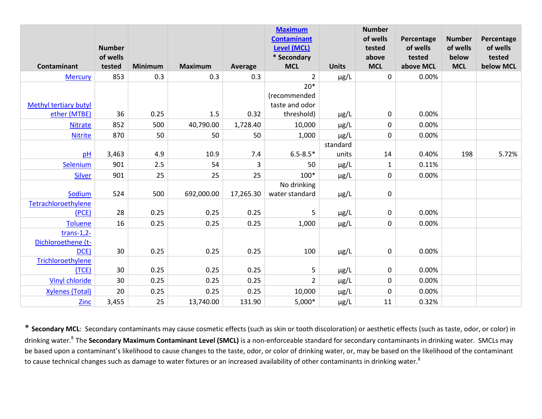|                              | <b>Number</b> |                |                |           | <b>Maximum</b><br><b>Contaminant</b><br><b>Level (MCL)</b> |              | <b>Number</b><br>of wells<br>tested | Percentage<br>of wells | <b>Number</b><br>of wells | Percentage<br>of wells |
|------------------------------|---------------|----------------|----------------|-----------|------------------------------------------------------------|--------------|-------------------------------------|------------------------|---------------------------|------------------------|
|                              | of wells      |                |                |           | * Secondary                                                |              | above                               | tested                 | below                     | tested                 |
| Contaminant                  | tested        | <b>Minimum</b> | <b>Maximum</b> | Average   | <b>MCL</b>                                                 | <b>Units</b> | <b>MCL</b>                          | above MCL              | <b>MCL</b>                | below MCL              |
| <b>Mercury</b>               | 853           | 0.3            | 0.3            | 0.3       | $\overline{2}$                                             | $\mu$ g/L    | 0                                   | 0.00%                  |                           |                        |
|                              |               |                |                |           | $20*$                                                      |              |                                     |                        |                           |                        |
|                              |               |                |                |           | (recommended                                               |              |                                     |                        |                           |                        |
| <b>Methyl tertiary butyl</b> |               |                |                |           | taste and odor                                             |              |                                     |                        |                           |                        |
| ether (MTBE)                 | 36            | 0.25           | 1.5            | 0.32      | threshold)                                                 | $\mu$ g/L    | 0                                   | 0.00%                  |                           |                        |
| <b>Nitrate</b>               | 852           | 500            | 40,790.00      | 1,728.40  | 10,000                                                     | $\mu$ g/L    | $\pmb{0}$                           | 0.00%                  |                           |                        |
| <b>Nitrite</b>               | 870           | 50             | 50             | 50        | 1,000                                                      | $\mu$ g/L    | $\pmb{0}$                           | 0.00%                  |                           |                        |
|                              |               |                |                |           |                                                            | standard     |                                     |                        |                           |                        |
| pH                           | 3,463         | 4.9            | 10.9           | 7.4       | $6.5 - 8.5*$                                               | units        | 14                                  | 0.40%                  | 198                       | 5.72%                  |
| Selenium                     | 901           | 2.5            | 54             | 3         | 50                                                         | $\mu$ g/L    | $\mathbf{1}$                        | 0.11%                  |                           |                        |
| <b>Silver</b>                | 901           | 25             | 25             | 25        | 100*                                                       | $\mu$ g/L    | $\pmb{0}$                           | 0.00%                  |                           |                        |
|                              |               |                |                |           | No drinking                                                |              |                                     |                        |                           |                        |
| Sodium                       | 524           | 500            | 692,000.00     | 17,265.30 | water standard                                             | $\mu$ g/L    | 0                                   |                        |                           |                        |
| Tetrachloroethylene          |               |                |                |           |                                                            |              |                                     |                        |                           |                        |
| (PCE)                        | 28            | 0.25           | 0.25           | 0.25      | 5                                                          | µg/L         | 0                                   | 0.00%                  |                           |                        |
| <b>Toluene</b>               | 16            | 0.25           | 0.25           | 0.25      | 1,000                                                      | $\mu$ g/L    | $\pmb{0}$                           | 0.00%                  |                           |                        |
| trans- $1,2-$                |               |                |                |           |                                                            |              |                                     |                        |                           |                        |
| Dichloroethene (t-           |               |                |                |           |                                                            |              |                                     |                        |                           |                        |
| DCE)                         | 30            | 0.25           | 0.25           | 0.25      | 100                                                        | $\mu$ g/L    | 0                                   | 0.00%                  |                           |                        |
| Trichloroethylene            |               |                |                |           |                                                            |              |                                     |                        |                           |                        |
| (TCE)                        | 30            | 0.25           | 0.25           | 0.25      | 5                                                          | µg/L         | 0                                   | 0.00%                  |                           |                        |
| <b>Vinyl chloride</b>        | 30            | 0.25           | 0.25           | 0.25      | $\overline{2}$                                             | $\mu$ g/L    | $\pmb{0}$                           | 0.00%                  |                           |                        |
| <b>Xylenes (Total)</b>       | 20            | 0.25           | 0.25           | 0.25      | 10,000                                                     | $\mu$ g/L    | 0                                   | 0.00%                  |                           |                        |
| Zinc                         | 3,455         | 25             | 13,740.00      | 131.90    | $5,000*$                                                   | µg/L         | 11                                  | 0.32%                  |                           |                        |

\* **Secondary MCL**: Secondary contaminants may cause cosmetic effects (such as skin or tooth discoloration) or aesthetic effects (such as taste, odor, or color) in drinking water.<sup>8</sup>The **Secondary Maximum Contaminant Level (SMCL)** is a non-enforceable standard for secondary contaminants in drinking water. SMCLs may be based upon a contaminant's likelihood to cause changes to the taste, odor, or color of drinking water, or, may be based on the likelihood of the contaminant to cause technical changes such as damage to water fixtures or an increased availability of other contaminants in drinking water.<sup>8</sup>